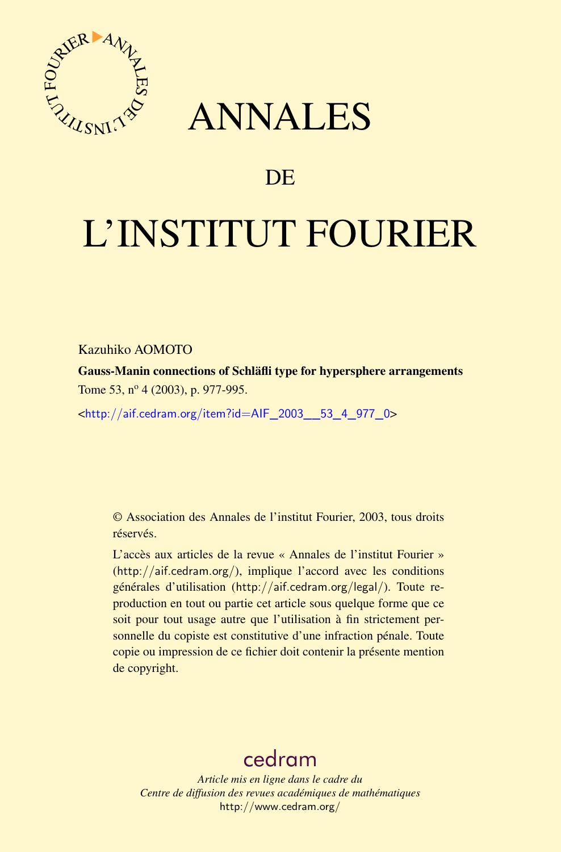



# DE

# L'INSTITUT FOURIER

Kazuhiko AOMOTO

Gauss-Manin connections of Schläfli type for hypersphere arrangements Tome 53, nº 4 (2003), p. 977-995.

<[http://aif.cedram.org/item?id=AIF\\_2003\\_\\_53\\_4\\_977\\_0](http://aif.cedram.org/item?id=AIF_2003__53_4_977_0)>

© Association des Annales de l'institut Fourier, 2003, tous droits réservés.

L'accès aux articles de la revue « Annales de l'institut Fourier » (<http://aif.cedram.org/>), implique l'accord avec les conditions générales d'utilisation (<http://aif.cedram.org/legal/>). Toute reproduction en tout ou partie cet article sous quelque forme que ce soit pour tout usage autre que l'utilisation à fin strictement personnelle du copiste est constitutive d'une infraction pénale. Toute copie ou impression de ce fichier doit contenir la présente mention de copyright.

## [cedram](http://www.cedram.org/)

*Article mis en ligne dans le cadre du Centre de diffusion des revues académiques de mathématiques* <http://www.cedram.org/>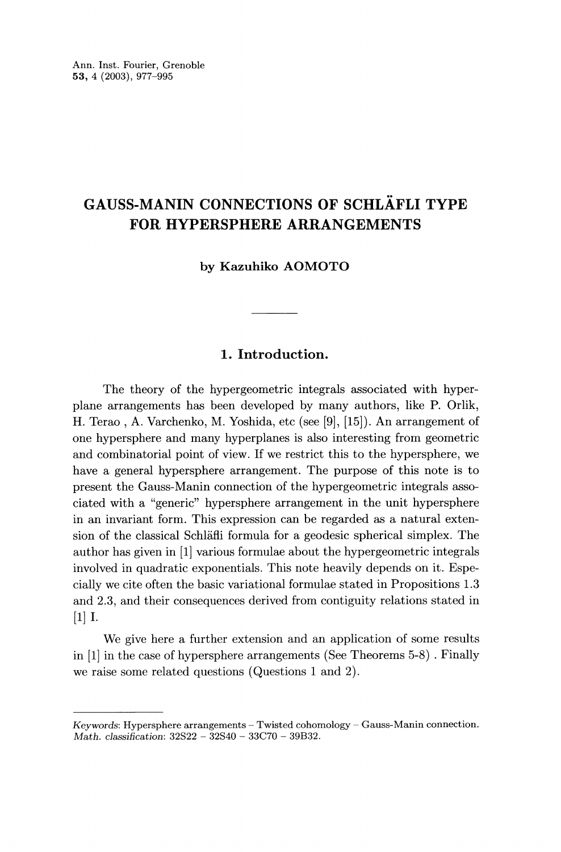Ann. Inst. Fourier, Grenoble 53, 4 (2003), 977-995

## GAUSS-MANIN CONNECTIONS OF SCHLÄFLI TYPE FOR HYPERSPHERE ARRANGEMENTS

by Kazuhiko AOMOTO

### 1. Introduction.

The theory of the hypergeometric integrals associated with hyperplane arrangements has been developed by many authors, like P. Orlik, H. Terao , A. Varchenko, M. Yoshida, etc (see [9], [15]). An arrangement of one hypersphere and many hyperplanes is also interesting from geometric and combinatorial point of view. If we restrict this to the hypersphere, we have a general hypersphere arrangement. The purpose of this note is to present the Gauss-Manin connection of the hypergeometric integrals associated with a "generic" hypersphere arrangement in the unit hypersphere in an invariant form. This expression can be regarded as a natural extension of the classical Schlafli formula for a geodesic spherical simplex. The author has given in [1] various formulae about the hypergeometric integrals involved in quadratic exponentials. This note heavily depends on it. Especially we cite often the basic variational formulae stated in Propositions 1.3 and 2.3, and their consequences derived from contiguity relations stated in [1] I.

We give here a further extension and an application of some results in [1] in the case of hypersphere arrangements (See Theorems 5-8) . Finally we raise some related questions (Questions 1 and 2).

Keywords: Hypersphere arrangements - Twisted cohomology - Gauss-Manin connection. Math. classification: 32S22 - 32S40 - 33C70 - 39B32.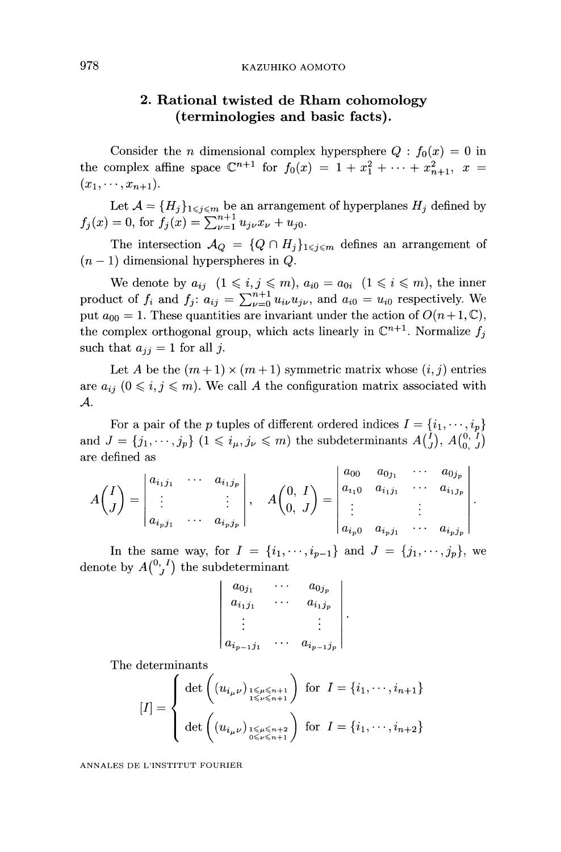### 2. Rational twisted de Rham cohomology (terminologies and basic facts).

Consider the *n* dimensional complex hypersphere  $Q : f_0(x) = 0$  in the complex affine space  $\mathbb{C}^{n+1}$  for  $f_0(x) = 1 + x_1^2 + \cdots + x_{n+1}^2$ ,  $x =$  $(x_1, \dots, x_{n+1}).$ 

Let  $\mathcal{A} = \{H_j\}_{1 \leq j \leq m}$  be an arrangement of hyperplanes  $H_j$  defined by for

The intersection  $\mathcal{A}_{Q} = \{Q \cap H_{j}\}_{1 \leq j \leq m}$  defines an arrangement of  $(n-1)$  dimensional hyperspheres in Q.

We denote by  $a_{ij}$   $(1\leq i, j \leq m)$ ,  $a_{i0} = a_{0i}$   $(1\leq i \leq m)$ , the inner product of  $f_i$  and  $f_j$ :  $a_{ij} = \sum_{\nu=0}^{n+1} u_{i\nu} u_{j\nu}$ , and  $a_{i0} = u_{i0}$  respectively. We put  $a_{00} = 1$ . These quantities are invariant under the action of  $O(n+1, \mathbb{C})$ , the complex orthogonal group, which acts linearly in  $\mathbb{C}^{n+1}$ . Normalize  $f_i$ such that  $a_{ij} = 1$  for all j.

Let A be the  $(m+1) \times (m+1)$  symmetric matrix whose  $(i, j)$  entries are  $a_{ij}$   $(0 \leq i, j \leq m)$ . We call A the configuration matrix associated with  $\mathcal{A}.$ 

For a pair of the p tuples of different ordered indices  $I = \{i_1, \dots, i_p\}$ and  $J = \{j_1, \dots, j_p\}$   $(1 \leq i_{\mu}, j_{\nu} \leq m)$  the subdeterminants  $A\begin{pmatrix} 1 \\ J \end{pmatrix}$ ,  $A\begin{pmatrix} 0 \\ 0 \\ 0 \end{pmatrix}$ are defined as

$$
A\left(\begin{matrix}I\\J\end{matrix}\right)=\begin{vmatrix}a_{i_1j_1}&\cdots&a_{i_1j_p}\\ \vdots& & \vdots\\ a_{i_pj_1}&\cdots&a_{i_pj_p}\end{vmatrix},\quad A\left(\begin{matrix}0, & I\\ 0, & J\end{matrix}\right)=\begin{vmatrix}a_{00}&a_{0j_1}&\cdots&a_{0j_p}\\ a_{i_10}&a_{i_1j_1}&\cdots&a_{i_1j_p}\\ \vdots& & \vdots\\ a_{i_p0}&a_{i_pj_1}&\cdots&a_{i_pj_p}\end{vmatrix}
$$

In the same way, for  $I = \{i_1, \dots, i_{p-1}\}\$  and  $J = \{j_1, \dots, j_p\}$ , we denote by  $A\binom{0, I}{I}$  the subdeterminant

$$
\begin{array}{ccc}\n a_{0j_1} & \cdots & a_{0j_p} \\
a_{i_1j_1} & \cdots & a_{i_1j_p} \\
\vdots & & \vdots \\
a_{i_{p-1}j_1} & \cdots & a_{i_{p-1}j_p}\n\end{array}
$$

The determinants

$$
[I] = \begin{cases} \det \left( (u_{i_{\mu}\nu})_{\substack{1 \leq \mu \leq n+1 \\ 1 \leq \nu \leq n+1}} \right) & \text{for } I = \{i_1, \cdots, i_{n+1}\} \\ \det \left( (u_{i_{\mu}\nu})_{\substack{1 \leq \mu \leq n+2 \\ 0 \leq \nu \leq n+1}} \right) & \text{for } I = \{i_1, \cdots, i_{n+2}\} \end{cases}
$$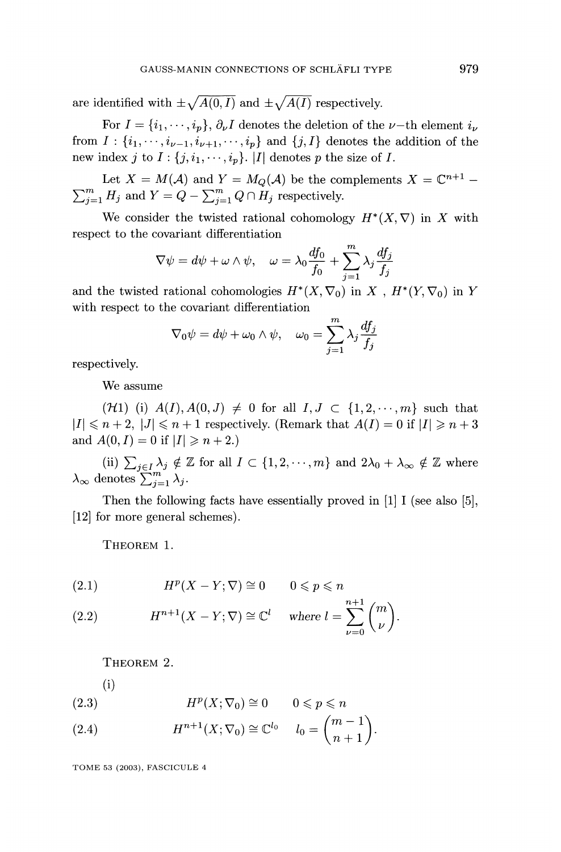are identified with  $\pm \sqrt{A(0, I)}$  and  $\pm \sqrt{A(I)}$  respectively.

For  $I = \{i_1, \dots, i_p\}, \partial_\nu I$  denotes the deletion of the  $\nu$ -th element  $i_\nu$ from  $I : \{i_1, \dots, i_{\nu-1}, i_{\nu+1}, \dots, i_p\}$  and  $\{j, I\}$  denotes the addition of the new index j to  $I: \{j, i_1, \dots, i_p\}$ . |I| denotes p the size of I.

Let  $X = M(\mathcal{A})$  and  $Y = M_Q(\mathcal{A})$  be the complements  $X = \mathbb{C}^{n+1}$  and  $Y = Q - \sum_{j=1}^{m} Q \cap H_j$  respectively.

We consider the twisted rational cohomology  $H^*(X, \nabla)$  in X with respect to the covariant differentiation

$$
\nabla \psi = d\psi + \omega \wedge \psi, \quad \omega = \lambda_0 \frac{df_0}{f_0} + \sum_{j=1}^m \lambda_j \frac{df_j}{f_j}
$$

and the twisted rational cohomologies  $H^*(X, \nabla_0)$  in X,  $H^*(Y, \nabla_0)$  in Y with respect to the covariant differentiation

$$
\nabla_0 \psi = d\psi + \omega_0 \wedge \psi, \quad \omega_0 = \sum_{j=1}^m \lambda_j \frac{df_j}{f_j}
$$

respectively.

We assume

 $({\cal H}1)$  (i)  $A(I), A(0, J) \neq 0$  for all  $I, J \subset \{1, 2, \dots, m\}$  such that  $|I| \leq n+2$ ,  $|J| \leq n+1$  respectively. (Remark that  $A(I) = 0$  if  $|I| \geq n+3$ and  $A(0, I) = 0$  if  $|I| \ge n + 2$ .

(ii)  $\sum_{j\in I}\frac{\lambda}{j}\notin\mathbb{Z}$  for all  $I\subset\{1,2,\cdots,m\}$  and  $2\lambda_0+\lambda_\infty\notin\mathbb{Z}$  where  $\lambda_{\infty}$  denotes  $\sum_{j=1}^m \lambda_j$ .

Then the following facts have essentially proved in [1] I (see also [5], [12] for more general schemes).

THEOREM 1.

(2.1) 
$$
H^p(X - Y; \nabla) \cong 0 \qquad 0 \leq p \leq n
$$

(2.2) 
$$
H^{n+1}(X - Y; \nabla) \cong \mathbb{C}^l \quad \text{where } l = \sum_{\nu=0}^{n+1} {m \choose \nu}.
$$

THEOREM 2.

#### (i)

$$
(2.3) \t\t\t Hp(X; \nabla_0) \cong 0 \t 0 \le p \le n
$$

(2.4) 
$$
H^{n+1}(X; \nabla_0) \cong \mathbb{C}^{l_0} \quad l_0 = \binom{m-1}{n+1}.
$$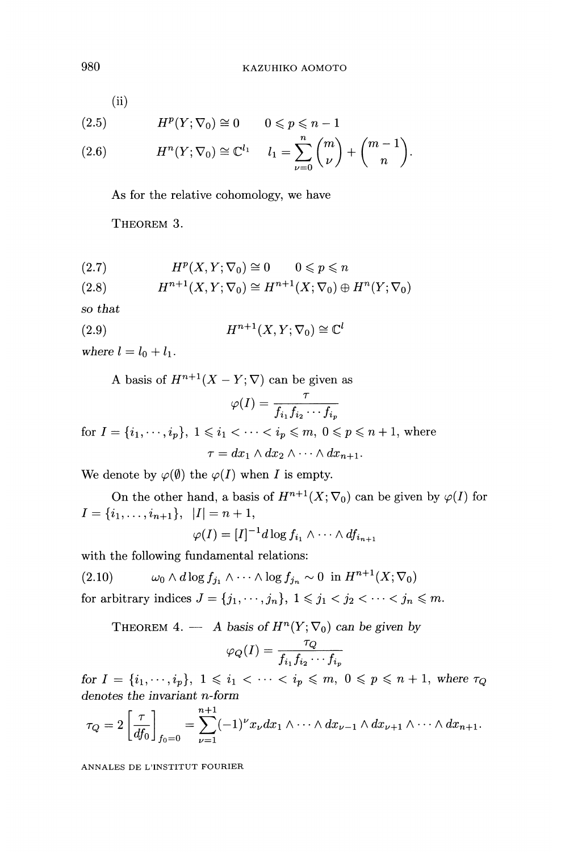(ii)

$$
(2.5) \tHp(Y; \nabla_0) \cong 0 \t 0 \le p \le n-1
$$

(2.6) 
$$
H^{n}(Y; \nabla_{0}) \cong \mathbb{C}^{l_{1}} \quad l_{1} = \sum_{\nu=0}^{n} {m \choose \nu} + {m-1 \choose n}.
$$

As for the relative cohomology, we have

THEOREM 3.

$$
(2.7) \tHp(X,Y; \nabla_0) \cong 0 \t 0 \le p \le n
$$

$$
(2.8) \tH^{n+1}(X,Y;\nabla_0) \cong H^{n+1}(X;\nabla_0) \oplus H^n(Y;\nabla_0)
$$

so that

(2.9) 
$$
H^{n+1}(X, Y; \nabla_0) \cong \mathbb{C}^l
$$

where  $l = l_0 + l_1$ .

A basis of  $H^{n+1}(X - Y; \nabla)$  can be given as

$$
\varphi(I)=\frac{\tau}{f_{i_1}f_{i_2}\cdots f_{i_l}}
$$

for  $I = \{i_1, \dots, i_p\}$ ,  $1 \leq i_1 < \dots < i_p \leq m$ ,  $0 \leq p \leq n+1$ , where  $\tau = dx_1 \wedge dx_2 \wedge \cdots \wedge dx_{n+1}.$ 

We denote by  $\varphi(\emptyset)$  the  $\varphi(I)$  when I is empty.

On the other hand, a basis of  $H^{n+1}(X; \nabla_0)$  can be given by  $\varphi(I)$  for  $I = \{i_1, \ldots, i_{n+1}\}, |I| = n + 1$ ,

$$
\varphi(I)=[I]^{-1}d\log f_{i_1}\wedge\cdots\wedge df_{i_{n+1}}
$$

with the following fundamental relations:

(2.10) 
$$
\omega_0 \wedge d \log f_{j_1} \wedge \cdots \wedge \log f_{j_n} \sim 0 \text{ in } H^{n+1}(X; \nabla_0)
$$

for arbitrary indices  $J = \{j_1, \dots, j_n\}, 1 \leq j_1 < j_2 < \dots < j_n \leq m$ .

THEOREM 4. - A basis of  $H^n(Y; \nabla_0)$  can be given by

$$
\varphi_Q(I) = \frac{\tau_Q}{f_{i_1} f_{i_2} \cdots f_{i_p}}
$$

for  $I = \{i_1, \dots, i_p\}, 1 \leq i_1 < \dots < i_p \leq m, 0 \leq p \leq n+1$ , where  $\tau_Q$ denotes the invariant n-form

$$
\tau_Q = 2 \left[ \frac{\tau}{df_0} \right]_{f_0=0} = \sum_{\nu=1}^{n+1} (-1)^{\nu} x_{\nu} dx_1 \wedge \cdots \wedge dx_{\nu-1} \wedge dx_{\nu+1} \wedge \cdots \wedge dx_{n+1}.
$$

ANNALES DE L'INSTITUT FOURIER

980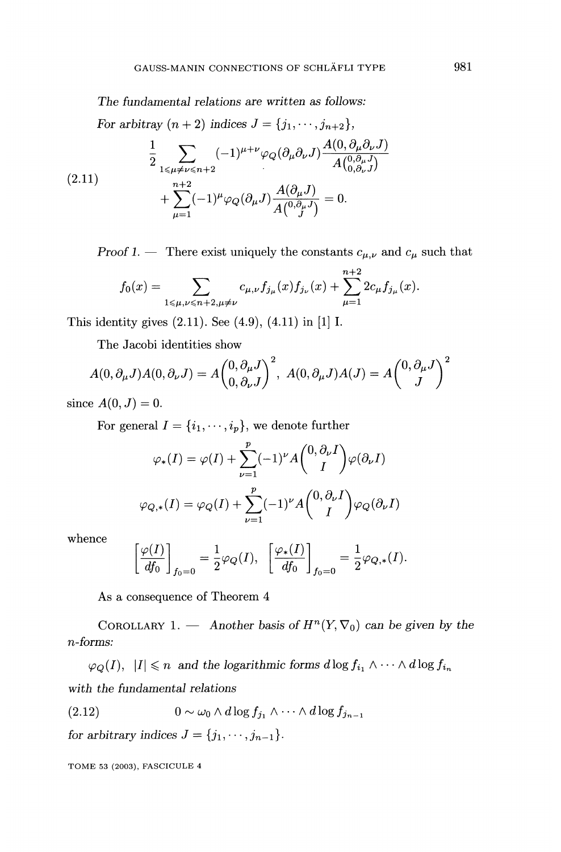The fundamental relations are written as follows:

For arbitray  $(n+2)$  indices  $J = \{j_1, \dots, j_{n+2}\},\$ 

(2.11) 
$$
\frac{1}{2} \sum_{1 \le \mu \neq \nu \le n+2} (-1)^{\mu+\nu} \varphi_Q(\partial_\mu \partial_\nu J) \frac{A(0, \partial_\mu \partial_\nu J)}{A(0, \partial_\mu J)} + \sum_{\mu=1}^{n+2} (-1)^{\mu} \varphi_Q(\partial_\mu J) \frac{A(\partial_\mu J)}{A(0, \partial_\mu J)} = 0.
$$

Proof 1. - There exist uniquely the constants  $c_{\mu,\nu}$  and  $c_{\mu}$  such that

$$
f_0(x) = \sum_{1 \le \mu, \nu \le n+2, \mu \ne \nu} c_{\mu,\nu} f_{j_\mu}(x) f_{j_\nu}(x) + \sum_{\mu=1}^{n+2} 2c_\mu f_{j_\mu}(x).
$$

This identity gives (2.11). See (4.9), (4.11) in [1] I.

The Jacobi identities show

$$
A(0,\partial_{\mu}J)A(0,\partial_{\nu}J) = A\begin{pmatrix} 0, \partial_{\mu}J \\ 0, \partial_{\nu}J \end{pmatrix}^{2}, A(0,\partial_{\mu}J)A(J) = A\begin{pmatrix} 0, \partial_{\mu}J \\ J \end{pmatrix}^{2}
$$

since  $A(0, J) = 0$ .

For general  $I = \{i_1, \dots, i_p\}$ , we denote further

$$
\varphi_*(I) = \varphi(I) + \sum_{\nu=1}^p (-1)^{\nu} A \binom{0, \partial_{\nu} I}{I} \varphi(\partial_{\nu} I)
$$

$$
\varphi_{Q,*}(I) = \varphi_Q(I) + \sum_{\nu=1}^p (-1)^{\nu} A \binom{0, \partial_{\nu} I}{I} \varphi_Q(\partial_{\nu} I)
$$

whence

$$
\left.\frac{\varphi(I)}{df_0}\right\}_{f_0=0}=\frac{1}{2}\varphi_Q(I),\ \left.\left\lfloor\frac{\varphi_*(I)}{df_0}\right\rfloor_{f_0=0}=\frac{1}{2}\varphi_{Q,*}(I).
$$

As a consequence of Theorem 4

COROLLARY 1. - Another basis of  $H^{n}(Y, \nabla_0)$  can be given by the n-forms:

 $\varphi_Q(I), |I| \leq n$  and the logarithmic forms  $d \log f_{i_1} \wedge \cdots \wedge d \log f_{i_n}$ with the fundamental relations

$$
(2.12) \t\t 0 \sim \omega_0 \wedge d \log f_{j_1} \wedge \cdots \wedge d \log f_{j_{n-1}}
$$

for arbitrary indices  $J = \{j_1, \dots, j_{n-1}\}.$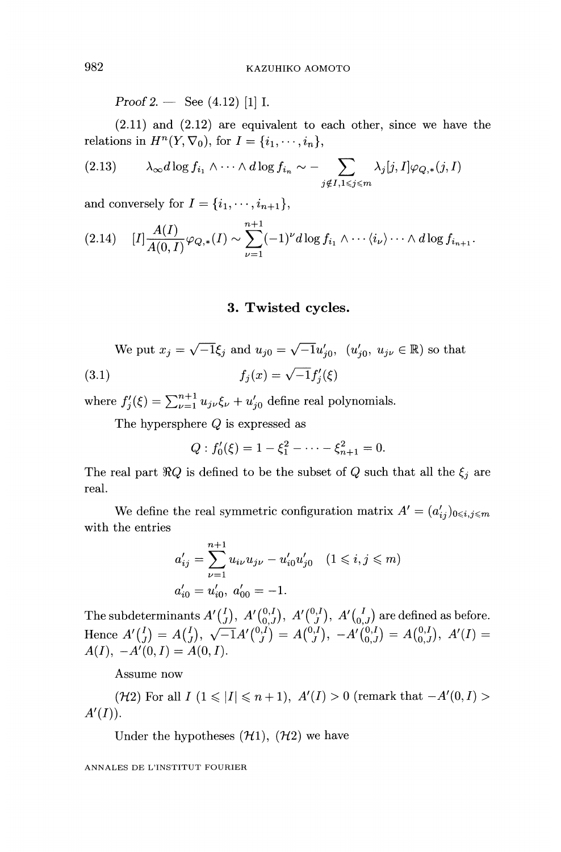Proof 2.  $-$  See (4.12) [1] I.

(2.11) and (2.12) are equivalent to each other, since we have the relations in  $H^n(Y, \nabla_0)$ , for  $I = \{i_1, \dots, i_n\},\$ 

$$
(2.13) \qquad \lambda_{\infty}d\log f_{i_1}\wedge\cdots\wedge d\log f_{i_n}\sim-\sum_{j\notin I,1\leqslant j\leqslant m}\lambda_j[j,I]\varphi_{Q,*}(j,I)
$$

and conversely for  $I = \{i_1, \dots, i_{n+1}\},\$ 

$$
(2.14) \quad [I]\frac{A(I)}{A(0,I)}\varphi_{Q,*}(I) \sim \sum_{\nu=1}^{n+1} (-1)^{\nu} d \log f_{i_1} \wedge \cdots \langle i_{\nu} \rangle \cdots \wedge d \log f_{i_{n+1}}.
$$

#### 3. Twisted cycles.

We put 
$$
x_j = \sqrt{-1}\xi_j
$$
 and  $u_{j0} = \sqrt{-1}u'_{j0}$ ,  $(u'_{j0}, u_{j\nu} \in \mathbb{R})$  so that  
(3.1)  $f_j(x) = \sqrt{-1}f'_j(\xi)$ 

where  $f_j'(\xi) = \sum_{\nu=1}^{n+1} u_{j\nu} \xi_{\nu} + u_{j0}'$  define real polynomials.

The hypersphere Q is expressed as

$$
Q: f_0'(\xi) = 1 - \xi_1^2 - \dots - \xi_{n+1}^2 = 0.
$$

The real part  $\Re Q$  is defined to be the subset of  $Q$  such that all the  $\xi_j$  are real.

We define the real symmetric configuration matrix  $A' = (a'_{ij})_{0 \le i, j \le m}$ with the entries

$$
a'_{ij} = \sum_{\nu=1}^{n+1} u_{i\nu} u_{j\nu} - u'_{i0} u'_{j0} \quad (1 \le i, j \le m)
$$
  

$$
a'_{i0} = u'_{i0}, \ a'_{00} = -1.
$$

The subdeterminants  $A'(\frac{I}{I})$ ,  $A'(\frac{0,I}{0,I})$ ,  $A'(\frac{0,I}{I})$ ,  $A'(\frac{I}{0,I})$  are defined as before. Hence  $A(I), -A'(0, I) = A(0, I).$ 

Assume now

( $H2$ ) For all  $I (1 \leq |I| \leq n + 1)$ ,  $A'(I) > 0$  (remark that  $-A'(0, I) > 0$  $A'(I)$ ).

Under the hypotheses  $(\mathcal{H}1), (\mathcal{H}2)$  we have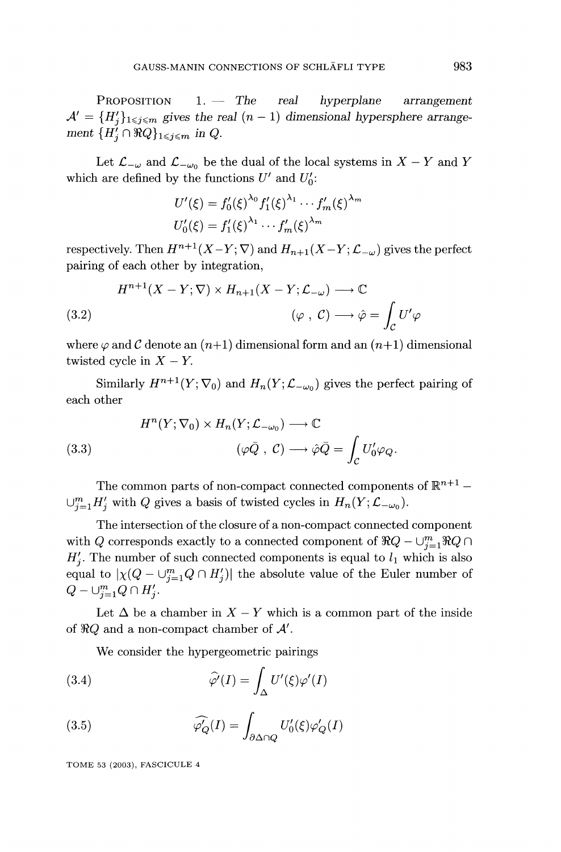PROPOSITION  $1. -$  The real hyperplane arrangement  $\mathcal{A}' = \{H'_i\}_{1 \leq i \leq m}$  gives the real  $(n-1)$  dimensional hypersphere arrangement  $\{H'_i \cap \Re Q\}_{1 \leq i \leq m}$  in Q.

Let  $\mathcal{L}_{-\omega}$  and  $\mathcal{L}_{-\omega_0}$  be the dual of the local systems in  $X - Y$  and Y which are defined by the functions  $U'$  and  $U'_0$ :

$$
U'(\xi) = f'_0(\xi)^{\lambda_0} f'_1(\xi)^{\lambda_1} \cdots f'_m(\xi)^{\lambda_m}
$$
  

$$
U'_0(\xi) = f'_1(\xi)^{\lambda_1} \cdots f'_m(\xi)^{\lambda_m}
$$

respectively. Then  $H^{n+1}(X-Y; \nabla)$  and  $H_{n+1}(X-Y; \mathcal{L}_{-\omega})$  gives the perfect pairing of each other by integration,

(3.2) 
$$
H^{n+1}(X - Y; \nabla) \times H_{n+1}(X - Y; \mathcal{L}_{-\omega}) \longrightarrow \mathbb{C}
$$

$$
(\varphi, \mathcal{C}) \longrightarrow \hat{\varphi} = \int_{\mathcal{C}} U' \varphi
$$

where  $\varphi$  and C denote an  $(n+1)$  dimensional form and an  $(n+1)$  dimensional twisted cycle in  $X - Y$ .

Similarly  $H^{n+1}(Y; \nabla_0)$  and  $H_n(Y; \mathcal{L}_{-\omega_0})$  gives the perfect pairing of each other

(3.3) 
$$
H^{n}(Y; \nabla_{0}) \times H_{n}(Y; \mathcal{L}_{-\omega_{0}}) \longrightarrow \mathbb{C}
$$

$$
(\varphi \bar{Q}, C) \longrightarrow \hat{\varphi} \bar{Q} = \int_{\mathcal{C}} U'_{0} \varphi_{Q}.
$$

The common parts of non-compact connected components of  $\mathbb{R}^{n+1}$  –  $\cup_{j=1}^m H'_j$  with Q gives a basis of twisted cycles in  $H_n(Y; \mathcal{L}_{-\omega_0})$ .

The intersection of the closure of a non-compact connected component with Q corresponds exactly to a connected component of  $\Re Q - \bigcup_{i=1}^{m} \Re Q \cap$  $H'_{i}$ . The number of such connected components is equal to  $l_1$  which is also equal to  $|\chi(Q - \bigcup_{j=1}^{m} Q \cap H'_j)|$  the absolute value of the Euler number of  $Q - \bigcup_{j=1}^{m} Q \cap H'_j$ .

Let  $\Delta$  be a chamber in  $X - Y$  which is a common part of the inside of  $\Re Q$  and a non-compact chamber of  $\mathcal{A}'$ .

We consider the hypergeometric pairings

(3.4) 
$$
\widehat{\varphi'}(I) = \int_{\Delta} U'(\xi) \varphi'(I)
$$

(3.5) 
$$
\widehat{\varphi_Q}(I) = \int_{\partial \Delta \cap Q} U_0'(\xi) \varphi_Q'(I)
$$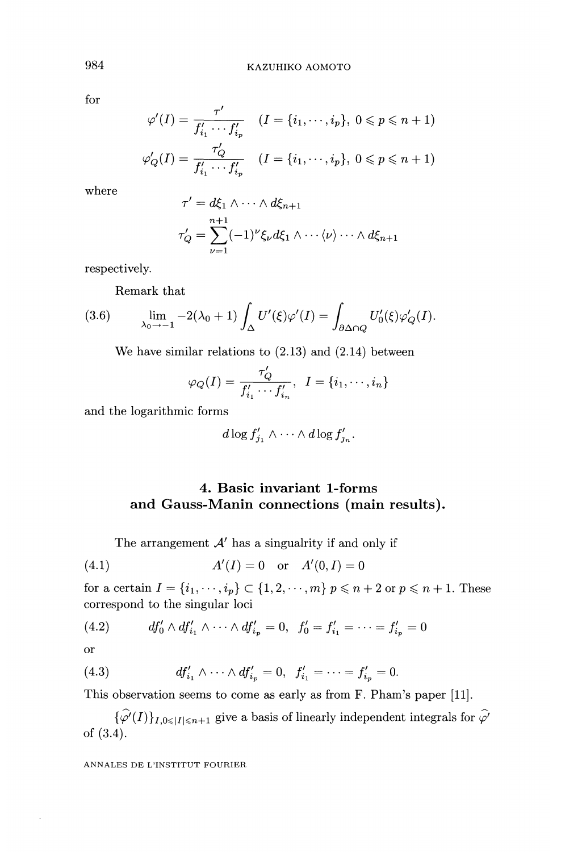for

$$
\varphi'(I) = \frac{\tau'}{f'_{i_1} \cdots f'_{i_p}} \quad (I = \{i_1, \cdots, i_p\}, \ 0 \le p \le n+1)
$$

$$
\varphi'_Q(I) = \frac{\tau'_Q}{f'_{i_1} \cdots f'_{i_p}} \quad (I = \{i_1, \cdots, i_p\}, \ 0 \le p \le n+1)
$$

where

$$
\tau' = d\xi_1 \wedge \cdots \wedge d\xi_{n+1}
$$
  

$$
\tau'_Q = \sum_{\nu=1}^{n+1} (-1)^{\nu} \xi_{\nu} d\xi_1 \wedge \cdots \langle \nu \rangle \cdots \wedge d\xi_{n+1}
$$

respectively.

Remark that

(3.6) 
$$
\lim_{\lambda_0 \to -1} -2(\lambda_0 + 1) \int_{\Delta} U'(\xi) \varphi'(I) = \int_{\partial \Delta \cap Q} U'_0(\xi) \varphi'_Q(I).
$$

We have similar relations to (2.13) and (2.14) between

$$
\varphi_Q(I) = \frac{\tau'_Q}{f'_{i_1} \cdots f'_{i_n}}, \ \ I = \{i_1, \cdots, i_n\}
$$

and the logarithmic forms

$$
d\log f'_{j_1}\wedge\cdots\wedge d\log f'_{j_n}.
$$

## 4. Basic invariant 1-forms and Gauss-Manin connections (main results).

The arrangement  $A'$  has a singualrity if and only if

(4.1) 
$$
A'(I) = 0
$$
 or  $A'(0,I) = 0$ 

for a certain  $I = \{i_1, \dots, i_p\} \subset \{1, 2, \dots, m\}$   $p \leq n + 2$  or  $p \leq n + 1$ . These correspond to the singular loci

(4.2) 
$$
df'_0 \wedge df'_{i_1} \wedge \cdots \wedge df'_{i_p} = 0, \ \ f'_0 = f'_{i_1} = \cdots = f'_{i_p} = 0
$$

or

(4.3) 
$$
df'_{i_1} \wedge \cdots \wedge df'_{i_p} = 0, \ \ f'_{i_1} = \cdots = f'_{i_p} = 0.
$$

This observation seems to come as early as from F. Pham's paper [11].

 $\{\widehat{\varphi'}(I)\}_{I,0\leq |I|\leq n+1}$  give a basis of linearly independent integrals for  $\widehat{\varphi'}$ of (3.4).

ANNALES DE L'INSTITUT FOURIER

984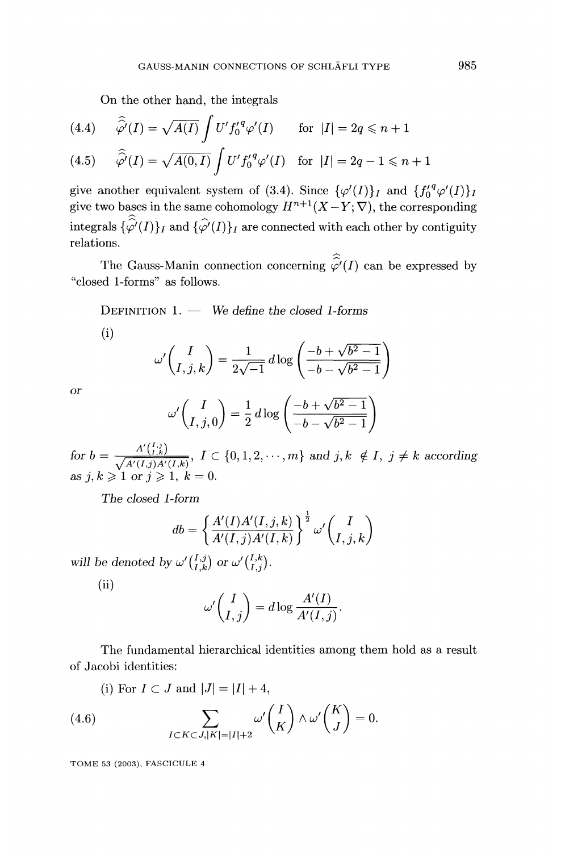On the other hand, the integrals

(4.4) 
$$
\widehat{\widehat{\varphi}'}(I) = \sqrt{A(I)} \int U' f_0'^q \varphi'(I) \quad \text{for } |I| = 2q \leq n+1
$$

(4.5) 
$$
\widehat{\varphi'}(I) = \sqrt{A(0, I)} \int U' f_0'^q \varphi'(I) \text{ for } |I| = 2q - 1 \leq n + 1
$$

give another equivalent system of (3.4). Since  $\{\varphi'(I)\}_I$  and  $\{f_0'^q \varphi'(I)\}_I$ give two bases in the same cohomology  $H^{n+1}(X-Y; \nabla)$ , the corresponding integrals  $\{\widehat{\varphi'}(I)\}_I$  and  $\{\widehat{\varphi'}(I)\}_I$  are connected with each other by contiguity relations.

The Gauss-Manin connection concerning  $\hat{\hat{\varphi}}(I)$  can be expressed by "closed 1-forms" as follows.

DEFINITION  $1.$  - We define the closed 1-forms

(i)

$$
\omega' \binom{I}{I,j,k} = \frac{1}{2\sqrt{-1}} d \log \left( \frac{-b + \sqrt{b^2 - 1}}{-b - \sqrt{b^2 - 1}} \right)
$$

or

$$
\omega' \binom{I}{I,j,0} = \frac{1}{2} d \log \left( \frac{-b + \sqrt{b^2 - 1}}{-b - \sqrt{b^2 - 1}} \right)
$$

for  $b = \frac{1}{\sqrt{A'(I_1A)(I_2A)(I_3A)}}$ ,  $I \subset \{0,1,2,\dots,m\}$  and  $j,k \notin I$ ,  $j \neq k$  according as

The closed 1-form

$$
db = \left\{ \frac{A'(I)A'(I,j,k)}{A'(I,j)A'(I,k)} \right\}^{\frac{1}{2}} \omega' \binom{I}{I,j,k}
$$

will be denoted by  $\omega' \begin{pmatrix} I, j \\ I, k \end{pmatrix}$  or  $\omega' \begin{pmatrix} I, k \\ I, j \end{pmatrix}$ .

(ii)

$$
\omega'\binom{I}{I,j} = d\log\frac{A'(I)}{A'(I,j)}.
$$

The fundamental hierarchical identities among them hold as a result of Jacobi identities:

(i) For 
$$
I \subset J
$$
 and  $|J| = |I| + 4$ ,

(4.6) 
$$
\sum_{I \subset K \subset J, |K| = |I| + 2} \omega' \binom{I}{K} \wedge \omega' \binom{K}{J} = 0.
$$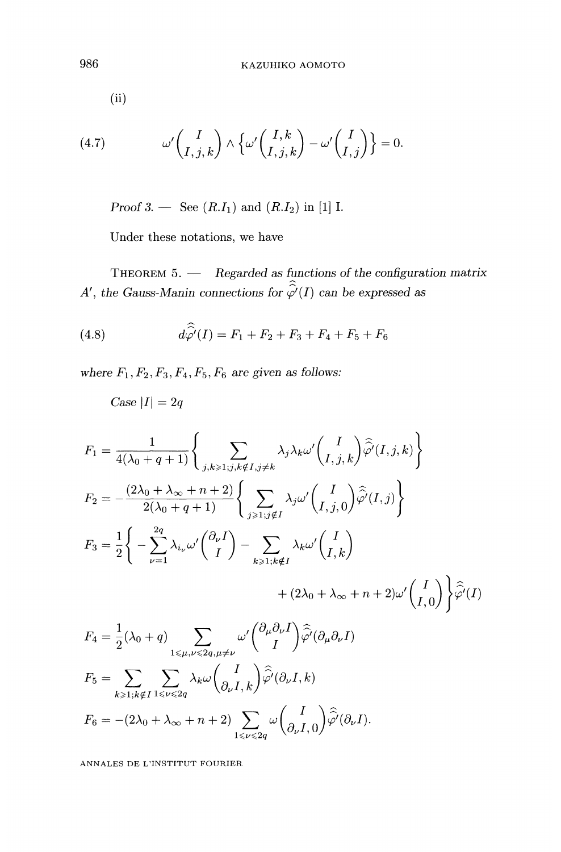(ii)

(4.7) 
$$
\omega' \begin{pmatrix} I \\ I, j, k \end{pmatrix} \wedge \left\{ \omega' \begin{pmatrix} I, k \\ I, j, k \end{pmatrix} - \omega' \begin{pmatrix} I \\ I, j \end{pmatrix} \right\} = 0.
$$

*Proof 3.* — See  $(R.I_1)$  and  $(R.I_2)$  in [1] I.

Under these notations, we have

THEOREM  $5.$  - Regarded as functions of the configuration matrix A', the Gauss-Manin connections for  $\widehat{\hat{\varphi}'}(I)$  can be expressed as

(4.8) 
$$
d\hat{\hat{\varphi}}(I) = F_1 + F_2 + F_3 + F_4 + F_5 + F_6
$$

where  $F_1, F_2, F_3, F_4, F_5, F_6$  are given as follows:

Case  $|I| = 2q$ 

$$
F_1 = \frac{1}{4(\lambda_0 + q + 1)} \left\{ \sum_{j,k \ge 1; j,k \notin I, j \ne k} \lambda_j \lambda_k \omega' \binom{I}{I,j,k} \hat{\varphi}^i(I,j,k) \right\}
$$
  
\n
$$
F_2 = -\frac{(2\lambda_0 + \lambda_\infty + n + 2)}{2(\lambda_0 + q + 1)} \left\{ \sum_{j \ge 1; j \notin I} \lambda_j \omega' \binom{I}{I,j,0} \hat{\varphi}^i(I,j) \right\}
$$
  
\n
$$
F_3 = \frac{1}{2} \left\{ -\sum_{\nu=1}^{2q} \lambda_{i_\nu} \omega' \binom{\partial_\nu I}{I} - \sum_{k \ge 1; k \notin I} \lambda_k \omega' \binom{I}{I,k} + (2\lambda_0 + \lambda_\infty + n + 2) \omega' \binom{I}{I,0} \right\} \hat{\varphi}^i(I)
$$
  
\n
$$
F_4 = \frac{1}{2} (\lambda_0 + q) \sum_{1 \le \mu, \nu \le 2q, \mu \ne \nu} \omega' \binom{\partial_\mu \partial_\nu I}{I} \hat{\varphi}^i(\partial_\mu \partial_\nu I)
$$
  
\n
$$
F_5 = \sum_{k \ge 1; k \notin I} \sum_{1 \le \nu \le 2q} \lambda_k \omega \binom{I}{\partial_\nu I, k} \hat{\varphi}^i(\partial_\nu I, k)
$$
  
\n
$$
F_6 = -(2\lambda_0 + \lambda_\infty + n + 2) \sum_{1 \le \nu \le 2q} \omega \binom{I}{\partial_\nu I, 0} \hat{\varphi}^i(\partial_\nu I).
$$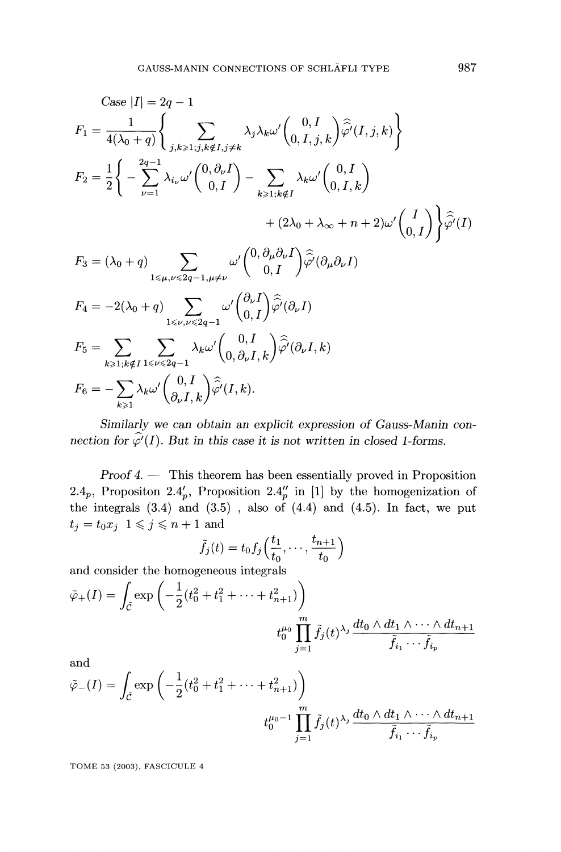Case |I| = 
$$
2q - 1
$$
  
\n
$$
F_1 = \frac{1}{4(\lambda_0 + q)} \Biggl\{ \sum_{j,k \ge 1; j,k \notin I, j \ne k} \lambda_j \lambda_k \omega' \binom{0, I}{0, I, j, k} \widehat{\varphi'}(I, j, k) \Biggr\}
$$
\n
$$
F_2 = \frac{1}{2} \Biggl\{ - \sum_{\nu=1}^{2q-1} \lambda_{i_{\nu}} \omega' \binom{0, \partial_{\nu} I}{0, I} - \sum_{k \ge 1; k \notin I} \lambda_k \omega' \binom{0, I}{0, I, k} + (2\lambda_0 + \lambda_{\infty} + n + 2) \omega' \binom{I}{0, I} \Biggr\} \widehat{\varphi'}(I)
$$
\n
$$
F_3 = (\lambda_0 + q) \sum_{1 \le \mu, \nu \le 2q-1, \mu \ne \nu} \omega' \binom{0, \partial_{\mu} \partial_{\nu} I}{0, I} \widehat{\varphi'}(\partial_{\mu} \partial_{\nu} I)
$$
\n
$$
F_4 = -2(\lambda_0 + q) \sum_{1 \le \nu, \nu \le 2q-1} \omega' \binom{\partial_{\nu} I}{0, I} \widehat{\varphi'}(\partial_{\nu} I)
$$
\n
$$
F_5 = \sum_{k \ge 1; k \notin I} \sum_{1 \le \nu \le 2q-1} \lambda_k \omega' \binom{0, I}{0, \partial_{\nu} I, k} \widehat{\varphi'}(\partial_{\nu} I, k)
$$
\n
$$
F_6 = - \sum_{k \ge 1} \lambda_k \omega' \binom{0, I}{\partial_{\nu} I, k} \widehat{\varphi'}(I, k).
$$

Similarly we can obtain an explicit expression of Gauss-Manin connection for  $\hat{\varphi'}(I)$ . But in this case it is not written in closed 1-forms.

Proof 4. - This theorem has been essentially proved in Proposition 2.4<sub>p</sub>, Propositon 2.4<sub>p</sub>, Proposition 2.4<sub>p</sub> in [1] by the homogenization of the integrals (3.4) and (3.5) , also of (4.4) and (4.5). In fact, we put  $t_j = t_0 x_j$   $1 \leqslant j \leqslant n+1$  and

$$
\tilde{f}_j(t) = t_0 f_j\Big(\frac{t_1}{t_0}, \cdots, \frac{t_{n+1}}{t_0}\Big)
$$

and consider the homogeneous integrals

$$
\tilde{\varphi}_{+}(I) = \int_{\tilde{C}} \exp\left(-\frac{1}{2}(t_0^2 + t_1^2 + \dots + t_{n+1}^2)\right)
$$

$$
t_0^{\mu_0} \prod_{j=1}^m \tilde{f}_j(t)^{\lambda_j} \frac{dt_0 \wedge dt_1 \wedge \dots \wedge dt_{n+1}}{\tilde{f}_{i_1} \cdots \tilde{f}_{i_p}}
$$

and

$$
\tilde{\varphi}_{-}(I) = \int_{\tilde{\mathcal{C}}} \exp\left(-\frac{1}{2}(t_0^2 + t_1^2 + \dots + t_{n+1}^2)\right)
$$

$$
t_0^{\mu_0 - 1} \prod_{j=1}^m \tilde{f}_j(t)^{\lambda_j} \frac{dt_0 \wedge dt_1 \wedge \dots \wedge dt_{n+1}}{\tilde{f}_{i_1} \cdots \tilde{f}_{i_p}}
$$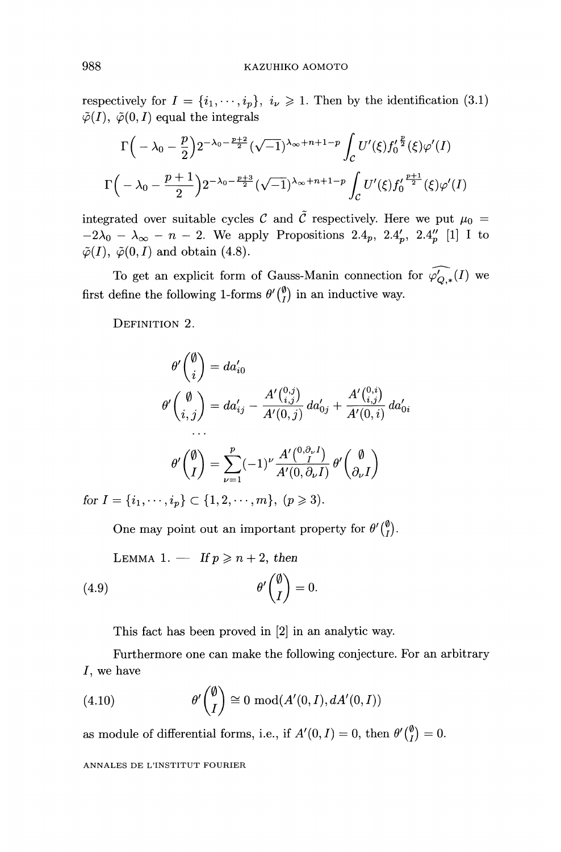respectively for  $I = \{i_1, \dots, i_p\}, i_{\nu} \geq 1$ . Then by the identification (3.1)  $\tilde{\varphi}(I), \tilde{\varphi}(0, I)$  equal the integrals

$$
\Gamma\left(-\lambda_0 - \frac{p}{2}\right)2^{-\lambda_0 - \frac{p+2}{2}} (\sqrt{-1})^{\lambda_{\infty} + n + 1 - p} \int_C U'(\xi) f_0' \frac{p}{2}(\xi) \varphi'(I)
$$
  

$$
\Gamma\left(-\lambda_0 - \frac{p+1}{2}\right)2^{-\lambda_0 - \frac{p+3}{2}} (\sqrt{-1})^{\lambda_{\infty} + n + 1 - p} \int_C U'(\xi) f_0' \frac{p+1}{2}(\xi) \varphi'(I)
$$

integrated over suitable cycles C and  $\tilde{C}$  respectively. Here we put  $\mu_0 =$  $-2\lambda_0 - \lambda_\infty - n - 2$ . We apply Propositions 2.4<sub>p</sub>, 2.4<sub>p</sub>, 2.4<sub>p</sub> [1] I to  $\tilde{\varphi}(I), ~\tilde{\varphi}(0, I)$  and obtain (4.8).

To get an explicit form of Gauss-Manin connection for  $\widehat{\varphi'_{Q,*}}(I)$  we first define the following 1-forms  $\theta' \begin{pmatrix} \emptyset \\ I \end{pmatrix}$  in an inductive way.

DEFINITION 2.

$$
\theta' \binom{\emptyset}{i} = da'_{i0}
$$
  

$$
\theta' \binom{\emptyset}{i,j} = da'_{ij} - \frac{A' \binom{0,j}{i,j}}{A'(0,j)} da'_{0j} + \frac{A' \binom{0,i}{i,j}}{A'(0,i)} da'_{0i}
$$
  
...  

$$
\theta' \binom{\emptyset}{I} = \sum_{\nu=1}^{P} (-1)^{\nu} \frac{A' \binom{0,\partial_{\nu} I}{I}}{A'(0,\partial_{\nu} I)} \theta' \binom{\emptyset}{\partial_{\nu} I}
$$
  

$$
I = \begin{bmatrix} i_1 & i_1 \end{bmatrix} \in \begin{bmatrix} 1 & 2 & \cdots & m \end{bmatrix} \quad (n \geq 3)
$$

for  $I = \{i_1, \dots, i_p\} \subset \{1, 2, \dots, m\}, \ (p \geq 3).$ 

One may point out an important property for  $\theta' \begin{pmatrix} \emptyset \\ I \end{pmatrix}$ .

LEMMA 1. — If 
$$
p \ge n + 2
$$
, then  
\n(4.9) 
$$
\theta' \begin{pmatrix} \emptyset \\ I \end{pmatrix} = 0.
$$

This fact has been proved in [2] in an analytic way.

Furthermore one can make the following conjecture. For an arbitrary I, we have

(4.10) 
$$
\theta' \begin{pmatrix} \emptyset \\ I \end{pmatrix} \cong 0 \mod(A'(0, I), dA'(0, I))
$$

as module of differential forms, i.e., if  $A'(0, I) = 0$ , then  $\theta' {0 \choose I} = 0$ .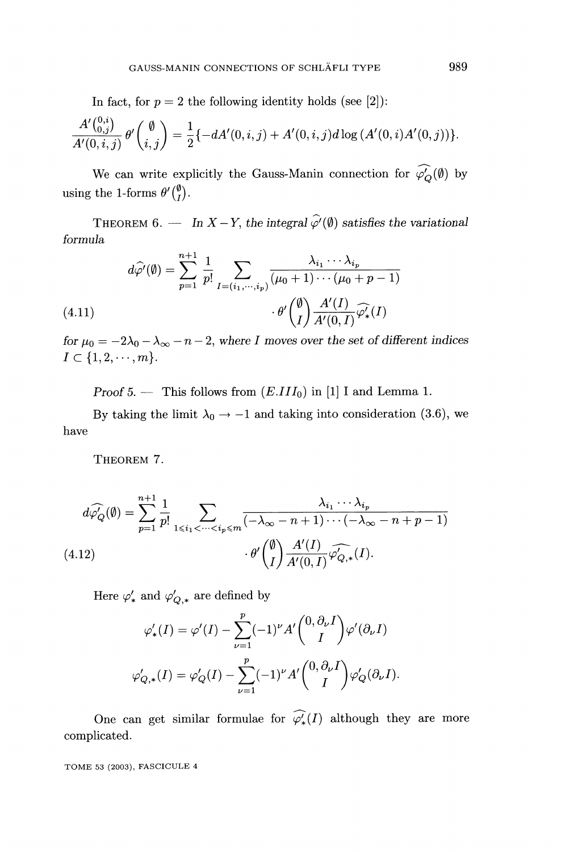In fact, for  $p = 2$  the following identity holds (see [2]):

$$
\frac{A'\binom{0,i}{0,j}}{A'(0,i,j)}\,\theta'\binom{\emptyset}{i,j}=\frac{1}{2}\{-dA'(0,i,j)+A'(0,i,j)d\log\left(A'(0,i)A'(0,j)\right)\}.
$$

We can write explicitly the Gauss-Manin connection for  $\widehat{\varphi}_Q'(\emptyset)$  by using the 1-forms  $\theta'(\frac{\emptyset}{I})$ .

THEOREM 6. - In  $X - Y$ , the integral  $\hat{\varphi}'(\emptyset)$  satisfies the variational formula

$$
d\widehat{\varphi'}(\emptyset) = \sum_{p=1}^{n+1} \frac{1}{p!} \sum_{I=(i_1,\cdots,i_p)} \frac{\lambda_{i_1} \cdots \lambda_{i_p}}{(\mu_0+1) \cdots (\mu_0+p-1)}
$$
  
(4.11) 
$$
\cdot \theta' \binom{\emptyset}{I} \frac{A'(I)}{A'(0,I)} \widehat{\varphi'_*}(I)
$$

for  $\mu_0 = -2\lambda_0 - \lambda_\infty - n - 2$ , where I moves over the set of different indices  $I \subset \{1, 2, \cdots, m\}.$ 

Proof 5. - This follows from  $(E.III_0)$  in [1] I and Lemma 1.

By taking the limit  $\lambda_0 \rightarrow -1$  and taking into consideration (3.6), we have

THEOREM 7.

$$
d\widehat{\varphi_Q}(\emptyset) = \sum_{p=1}^{n+1} \frac{1}{p!} \sum_{1 \le i_1 < \dots < i_p \le m} \frac{\lambda_{i_1} \cdots \lambda_{i_p}}{(-\lambda_{\infty} - n + 1) \cdots (-\lambda_{\infty} - n + p - 1)}
$$
  
(4.12) 
$$
\cdot \theta' \binom{\emptyset}{I} \frac{A'(I)}{A'(0, I)} \widehat{\varphi_{Q,*}}(I).
$$

Here  $\varphi'_*$  and  $\varphi'_{Q,*}$  are defined by

$$
\varphi'_{*}(I) = \varphi'(I) - \sum_{\nu=1}^{p} (-1)^{\nu} A' \binom{0, \partial_{\nu} I}{I} \varphi'(\partial_{\nu} I)
$$

$$
\varphi'_{Q,*}(I) = \varphi'_{Q}(I) - \sum_{\nu=1}^{p} (-1)^{\nu} A' \binom{0, \partial_{\nu} I}{I} \varphi'_{Q}(\partial_{\nu} I)
$$

One can get similar formulae for  $\widehat{\varphi_*}(I)$  although they are more complicated.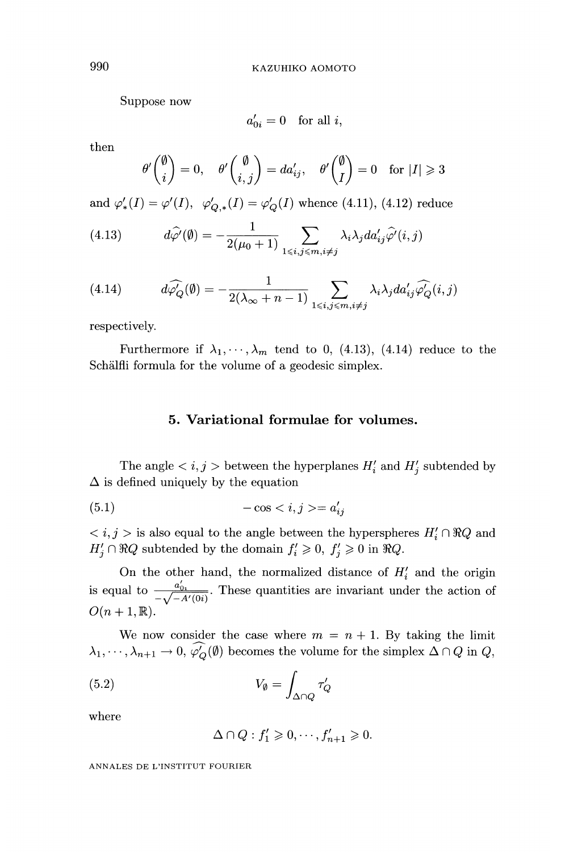Suppose now

 $a'_{0i} = 0$  for all i.

then

$$
\theta' \binom{\emptyset}{i} = 0, \quad \theta' \binom{\emptyset}{i,j} = da'_{ij}, \quad \theta' \binom{\emptyset}{I} = 0 \quad \text{for } |I| \geq 3
$$

and  $\varphi'_*(I) = \varphi'(I), \ \varphi'_{Q,*}(I) = \varphi'_Q(I)$  whence (4.11), (4.12) reduce

(4.13) 
$$
d\hat{\varphi}'(\emptyset) = -\frac{1}{2(\mu_0+1)} \sum_{1 \le i,j \le m, i \ne j} \lambda_i \lambda_j da'_{ij} \hat{\varphi}'(i,j)
$$

(4.14) 
$$
d\widehat{\varphi}_Q'(\emptyset) = -\frac{1}{2(\lambda_{\infty} + n - 1)} \sum_{1 \le i,j \le m, i \ne j} \lambda_i \lambda_j da'_{ij} \widehat{\varphi}_Q'(i,j)
$$

respectively.

Furthermore if  $\lambda_1, \dots, \lambda_m$  tend to 0, (4.13), (4.14) reduce to the Schalfli formula for the volume of a geodesic simplex.

#### 5. Variational formulae for volumes.

The angle  $\langle i, j \rangle$  between the hyperplanes  $H'_i$  and  $H'_j$  subtended by  $\Delta$  is defined uniquely by the equation

$$
(5.1)\qquad \qquad -\cos = a'_{ij}
$$

 $\langle i, j \rangle$  is also equal to the angle between the hyperspheres  $H_i' \cap \Re Q$  and  $H'_j \cap \Re Q$  subtended by the domain  $f'_i \geq 0$ ,  $f'_j \geq 0$  in  $\Re Q$ .

On the other hand, the normalized distance of  $H_i'$  and the origin is equal to  $\frac{a'_{0i}}{-\sqrt{-A'(0i)}}$ . These quantities are invariant under the action of  $O(n+1,\mathbb{R})$ .

We now consider the case where  $m = n + 1$ . By taking the limit  $\lambda_1, \dots, \lambda_{n+1} \to 0$ ,  $\widehat{\varphi'_Q}(\emptyset)$  becomes the volume for the simplex  $\Delta \cap Q$  in  $Q$ ,

$$
(5.2) \t\t V_{\emptyset} = \int_{\Delta \cap Q} \tau'_{Q}
$$

where

$$
\Delta \cap Q: f_1' \geqslant 0, \cdots, f_{n+1}' \geqslant 0.
$$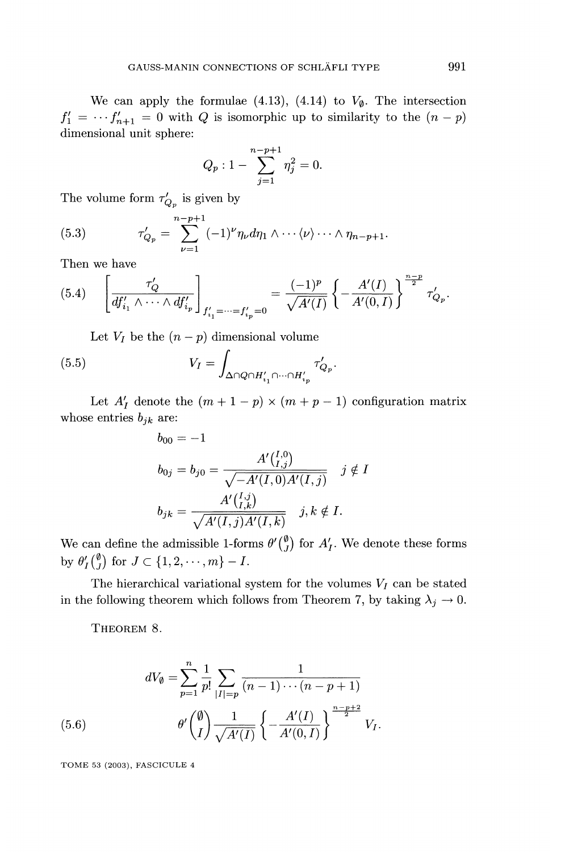We can apply the formulae (4.13), (4.14) to  $V_{\emptyset}$ . The intersection  $f'_1 = \cdots f'_{n+1} = 0$  with Q is isomorphic up to similarity to the  $(n - p)$ dimensional unit sphere:

$$
Q_p: 1 - \sum_{j=1}^{n-p+1} \eta_j^2 = 0.
$$

The volume form  $\tau'_{Q_p}$  is given by

(5.3) 
$$
\tau'_{Q_p} = \sum_{\nu=1}^{n-p+1} (-1)^{\nu} \eta_{\nu} d\eta_1 \wedge \cdots \langle \nu \rangle \cdots \wedge \eta_{n-p+1}
$$

Then we have

$$
(5.4) \qquad \left[\frac{\tau'_Q}{df'_{i_1} \wedge \cdots \wedge df'_{i_p}}\right]_{f'_{i_1} = \cdots = f'_{i_p} = 0} = \frac{(-1)^p}{\sqrt{A'(I)}} \left\{-\frac{A'(I)}{A'(0,I)}\right\}^{\frac{n-p}{2}} \tau'_{Q_p}.
$$

Let  $V_I$  be the  $(n - p)$  dimensional volume

(5.5) 
$$
V_I = \int_{\Delta \cap Q \cap H'_{i_1} \cap \dots \cap H'_{i_p}} \tau'_{Q_p}.
$$

Let  $A'_I$  denote the  $(m+1-p) \times (m+p-1)$  configuration matrix whose entries  $b_{jk}$  are:

$$
b_{00} = -1
$$
  
\n
$$
b_{0j} = b_{j0} = \frac{A'\binom{I,0}{I,j}}{\sqrt{-A'(I,0)A'(I,j)}} \quad j \notin I
$$
  
\n
$$
b_{jk} = \frac{A'\binom{I,j}{I,k}}{\sqrt{A'(I,j)A'(I,k)}} \quad j, k \notin I.
$$

We can define the admissible 1-forms  $\theta' \begin{pmatrix} \emptyset \\ J \end{pmatrix}$  for  $A'_I$ . We denote these forms by  $\theta'_I \begin{pmatrix} \emptyset \\ J \end{pmatrix}$  for  $J \subset \{1, 2, \dots, m\} - I$ .

The hierarchical variational system for the volumes  $V_I$  can be stated in the following theorem which follows from Theorem 7, by taking  $\lambda_j \to 0$ .

THEOREM 8.

(5.6) 
$$
dV_{\emptyset} = \sum_{p=1}^{n} \frac{1}{p!} \sum_{|I|=p} \frac{1}{(n-1)\cdots(n-p+1)}
$$

$$
\theta' \binom{\emptyset}{I} \frac{1}{\sqrt{A'(I)}} \left\{ -\frac{A'(I)}{A'(0,I)} \right\}^{\frac{n-p+2}{2}} V_I.
$$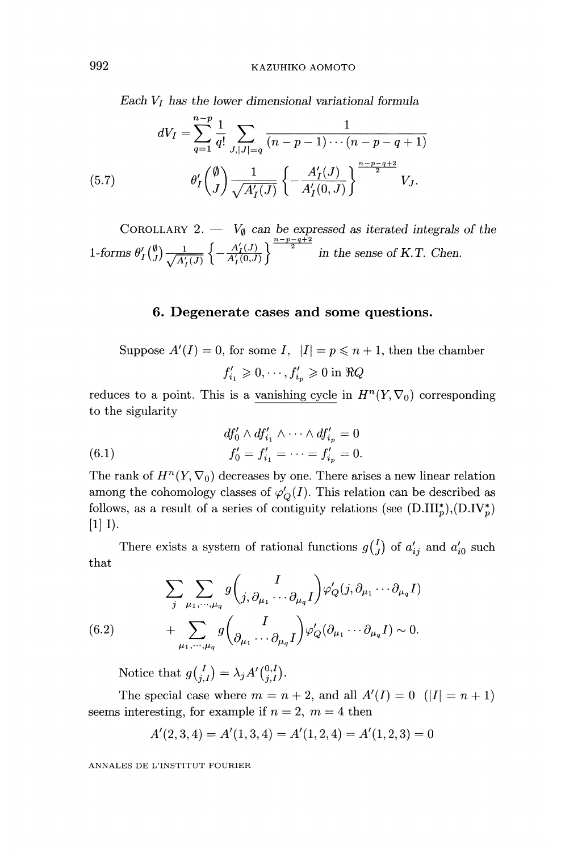KAZUHIKO AOMOTO

Each  $V_I$  has the lower dimensional variational formula

(5.7) 
$$
dV_I = \sum_{q=1}^{n-p} \frac{1}{q!} \sum_{J,|J|=q} \frac{1}{(n-p-1)\cdots(n-p-q+1)}
$$

$$
\theta'_I \begin{pmatrix} \emptyset \\ J \end{pmatrix} \frac{1}{\sqrt{A'_I(J)}} \left\{ -\frac{A'_I(J)}{A'_I(0,J)} \right\}^{\frac{n-p-q+2}{2}} V_J.
$$

COROLLARY 2.  $\overline{V}_{\emptyset}$  can be expressed as iterated integrals of the 1-forms  $\theta'_I(\frac{r}{I}) \rightarrow \frac{1}{A'_I(\frac{r}{I})} \left\{ -\frac{1}{A'_I(\frac{r}{I})} \right\}$  in the sense of K.T. Chen.

#### 6. Degenerate cases and some questions.

Suppose  $A'(I) = 0$ , for some I,  $|I| = p \le n + 1$ , then the chamber  $f'_{i_1} \geqslant 0, \cdots, f'_{i_n} \geqslant 0$  in  $\Re Q$ 

reduces to a point. This is a vanishing cycle in  $H^{n}(Y, \nabla_0)$  corresponding to the sigularity

(6.1) 
$$
df'_0 \wedge df'_{i_1} \wedge \cdots \wedge df'_{i_p} = 0
$$

$$
f'_0 = f'_{i_1} = \cdots = f'_{i_p} = 0.
$$

The rank of  $H^n(Y, \nabla_0)$  decreases by one. There arises a new linear relation among the cohomology classes of  $\varphi'_{Q}(I)$ . This relation can be described as follows, as a result of a series of contiguity relations (see  $(D.III_p^*), (D.IV_p^*)$ <br>[1] I).

There exists a system of rational functions  $g^{(I)}_{j}$  of  $a'_{ij}$  and  $a'_{i0}$  such that

(6.2) 
$$
\sum_{j} \sum_{\mu_1, \cdots, \mu_q} g \binom{I}{j, \partial_{\mu_1} \cdots \partial_{\mu_q} I} \varphi'_Q(j, \partial_{\mu_1} \cdots \partial_{\mu_q} I)
$$

$$
+ \sum_{\mu_1, \cdots, \mu_q} g \binom{I}{\partial_{\mu_1} \cdots \partial_{\mu_q} I} \varphi'_Q(\partial_{\mu_1} \cdots \partial_{\mu_q} I) \sim 0.
$$

Notice that  $g\begin{pmatrix} I \\ i,I \end{pmatrix} = \lambda_j A' \begin{pmatrix} 0,I \\ i,I \end{pmatrix}$ .

The special case where  $m = n + 2$ , and all  $A'(I) = 0$   $(|I| = n + 1)$ seems interesting, for example if  $n = 2$ ,  $m = 4$  then

$$
A'(2,3,4)=A'(1,3,4)=A'(1,2,4)=A'(1,2,3)=0
$$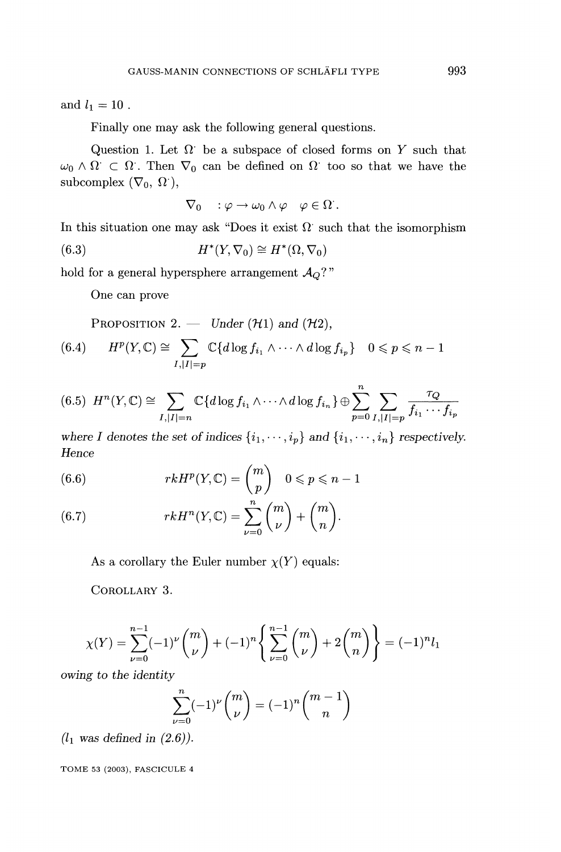and  $l_1 = 10$ .

Finally one may ask the following general questions.

Question 1. Let  $\Omega$  be a subspace of closed forms on Y such that  $\omega_0 \wedge \Omega \subset \Omega$ . Then  $\nabla_0$  can be defined on  $\Omega$  too so that we have the subcomplex  $(\nabla_0, \Omega)$ ,

$$
\nabla_0 \quad : \varphi \to \omega_0 \wedge \varphi \quad \varphi \in \Omega \ .
$$

In this situation one may ask "Does it exist  $\Omega$  such that the isomorphism

(6.3) 
$$
H^*(Y, \nabla_0) \cong H^*(\Omega, \nabla_0)
$$

hold for a general hypersphere arrangement  $\mathcal{A}_Q$ ?"

One can prove

PROPOSITION 2. - Under  $(\mathcal{H}1)$  and  $(\mathcal{H}2)$ ,

$$
(6.4) \qquad H^p(Y,\mathbb{C}) \cong \sum_{I,|I|=p} \mathbb{C}\{d \log f_{i_1} \wedge \cdots \wedge d \log f_{i_p}\} \quad 0 \leqslant p \leqslant n-1
$$

$$
(6.5) \quad H^n(Y,\mathbb{C}) \cong \sum_{I,|I|=n} \mathbb{C}\{d \log f_{i_1} \wedge \cdots \wedge d \log f_{i_n}\} \oplus \sum_{p=0}^n \sum_{I,|I|=p} \frac{\tau_Q}{f_{i_1} \cdots f_{i_p}}
$$

where I denotes the set of indices  $\{i_1, \dots, i_p\}$  and  $\{i_1, \dots, i_n\}$  respectively. Hence

(6.6) 
$$
rkH^p(Y,\mathbb{C}) = \binom{m}{p} \quad 0 \leqslant p \leqslant n-1
$$

(6.7) 
$$
rkH^{n}(Y,\mathbb{C})=\sum_{\nu=0}^{n}\binom{m}{\nu}+\binom{m}{n}.
$$

As a corollary the Euler number  $\chi(Y)$  equals:

COROLLARY 3.

$$
\chi(Y) = \sum_{\nu=0}^{n-1} (-1)^{\nu} \binom{m}{\nu} + (-1)^n \left\{ \sum_{\nu=0}^{n-1} \binom{m}{\nu} + 2 \binom{m}{n} \right\} = (-1)^n l_1
$$

owing to the identity

$$
\sum_{\nu=0}^n (-1)^{\nu} \binom{m}{\nu} = (-1)^n \binom{m-1}{n}
$$

 $(l_1$  was defined in  $(2.6)$ ).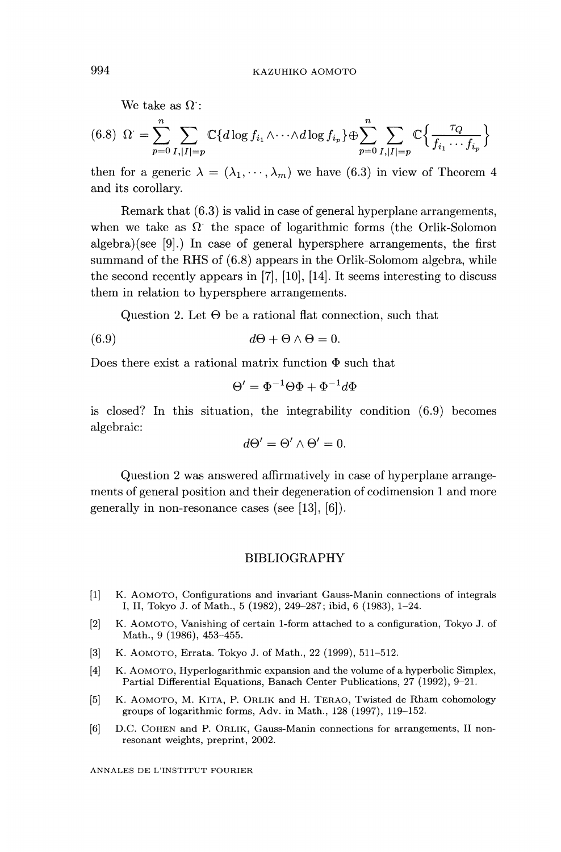We take as  $\Omega$ :

$$
(6.8) \ \Omega = \sum_{p=0}^{n} \sum_{I,|I|=p} \mathbb{C}\{d \log f_{i_1} \wedge \cdots \wedge d \log f_{i_p}\} \oplus \sum_{p=0}^{n} \sum_{I,|I|=p} \mathbb{C}\left\{\frac{\tau_Q}{f_{i_1} \cdots f_{i_p}}\right\}
$$

then for a generic  $\lambda = (\lambda_1, \dots, \lambda_m)$  we have (6.3) in view of Theorem 4 and its corollary.

Remark that (6.3) is valid in case of general hyperplane arrangements, when we take as  $\Omega$  the space of logarithmic forms (the Orlik-Solomon algebra)(see [9].) In case of general hypersphere arrangements, the first summand of the RHS of (6.8) appears in the Orlik-Solomom algebra, while the second recently appears in [7], [10], [14]. It seems interesting to discuss them in relation to hypersphere arrangements.

Question 2. Let  $\Theta$  be a rational flat connection, such that

$$
(6.9) \t d\Theta + \Theta \wedge \Theta = 0.
$$

Does there exist a rational matrix function  $\Phi$  such that

$$
\Theta' = \Phi^{-1}\Theta\Phi + \Phi^{-1}d\Phi
$$

is closed? In this situation, the integrability condition (6.9) becomes algebraic:

$$
d\Theta' = \Theta' \wedge \Theta' = 0.
$$

Question 2 was answered affirmatively in case of hyperplane arrangements of general position and their degeneration of codimension 1 and more generally in non-resonance cases (see [13], [6]).

#### BIBLIOGRAPHY

- [1] K. AOMOTO, Configurations and invariant Gauss-Manin connections of integrals I, II, Tokyo J. of Math., 5 (1982), 249-287; ibid, 6 (1983), 1-24.
- [2] K. AOMOTO, Vanishing of certain 1-form attached to a configuration, Tokyo J. of Math., 9 (1986), 453-455.
- [3] K. AOMOTO, Errata. Tokyo J. of Math., 22 (1999), 511-512.
- [4] K. AOMOTO, Hyperlogarithmic expansion and the volume of a hyperbolic Simplex, Partial Differential Equations, Banach Center Publications, 27 (1992), 9-21.
- [5] K. AOMOTO, M. KITA, P. ORLIK and H. TERAO, Twisted de Rham cohomology groups of logarithmic forms, Adv. in Math., 128 (1997), 119-152.
- [6] D.C. COHEN and P. ORLIK, Gauss-Manin connections for arrangements, II nonresonant weights, preprint, 2002.